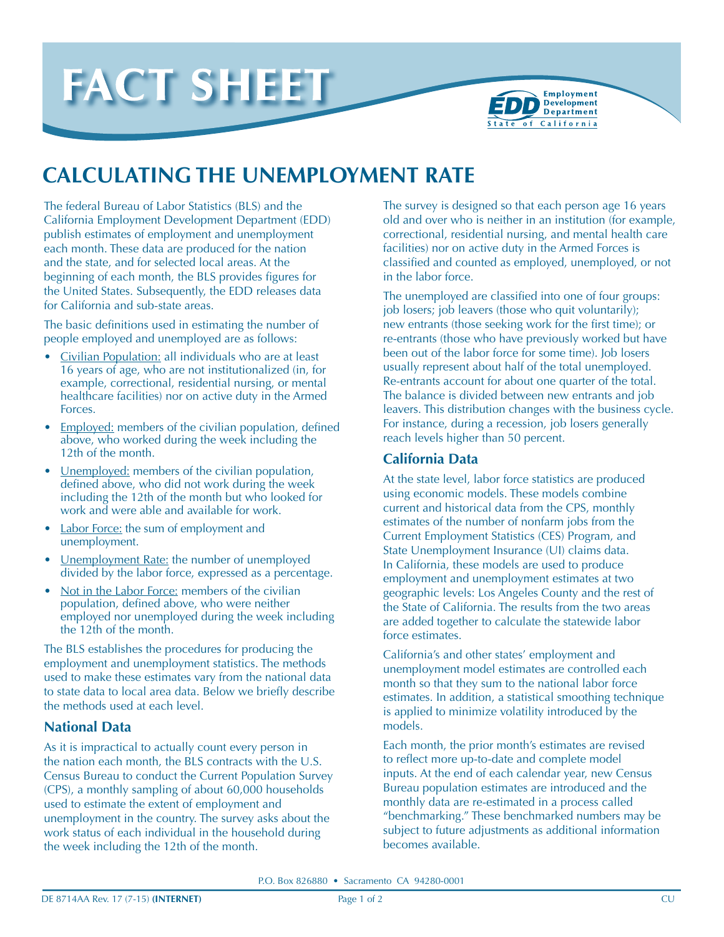



# **CALCULATING THE UNEMPLOYMENT RATE**

The federal Bureau of Labor Statistics (BLS) and the California Employment Development Department (EDD) publish estimates of employment and unemployment each month. These data are produced for the nation and the state, and for selected local areas. At the beginning of each month, the BLS provides figures for the United States. Subsequently, the EDD releases data for California and sub-state areas.

The basic definitions used in estimating the number of people employed and unemployed are as follows:

- Civilian Population: all individuals who are at least 16 years of age, who are not institutionalized (in, for example, correctional, residential nursing, or mental healthcare facilities) nor on active duty in the Armed Forces.
- Employed: members of the civilian population, defined above, who worked during the week including the 12th of the month.
- Unemployed: members of the civilian population, defined above, who did not work during the week including the 12th of the month but who looked for work and were able and available for work.
- Labor Force: the sum of employment and unemployment.
- <u>Unemployment Rate:</u> the number of unemployed divided by the labor force, expressed as a percentage.
- Not in the Labor Force: members of the civilian population, defined above, who were neither employed nor unemployed during the week including the 12th of the month.

The BLS establishes the procedures for producing the employment and unemployment statistics. The methods used to make these estimates vary from the national data to state data to local area data. Below we briefly describe the methods used at each level.

### **National Data**

As it is impractical to actually count every person in the nation each month, the BLS contracts with the U.S. Census Bureau to conduct the Current Population Survey (CPS), a monthly sampling of about 60,000 households used to estimate the extent of employment and unemployment in the country. The survey asks about the work status of each individual in the household during the week including the 12th of the month.

The survey is designed so that each person age 16 years old and over who is neither in an institution (for example, correctional, residential nursing, and mental health care facilities) nor on active duty in the Armed Forces is classified and counted as employed, unemployed, or not in the labor force.

The unemployed are classified into one of four groups: job losers; job leavers (those who quit voluntarily); new entrants (those seeking work for the first time); or re-entrants (those who have previously worked but have been out of the labor force for some time). Job losers usually represent about half of the total unemployed. Re-entrants account for about one quarter of the total. The balance is divided between new entrants and job leavers. This distribution changes with the business cycle. For instance, during a recession, job losers generally reach levels higher than 50 percent.

#### **California Data**

At the state level, labor force statistics are produced using economic models. These models combine current and historical data from the CPS, monthly estimates of the number of nonfarm jobs from the Current Employment Statistics (CES) Program, and State Unemployment Insurance (UI) claims data. In California, these models are used to produce employment and unemployment estimates at two geographic levels: Los Angeles County and the rest of the State of California. The results from the two areas are added together to calculate the statewide labor force estimates.

California's and other states' employment and unemployment model estimates are controlled each month so that they sum to the national labor force estimates. In addition, a statistical smoothing technique is applied to minimize volatility introduced by the models.

Each month, the prior month's estimates are revised to reflect more up-to-date and complete model inputs. At the end of each calendar year, new Census Bureau population estimates are introduced and the monthly data are re-estimated in a process called "benchmarking." These benchmarked numbers may be subject to future adjustments as additional information becomes available.

P.O. Box 826880 • Sacramento CA 94280-0001